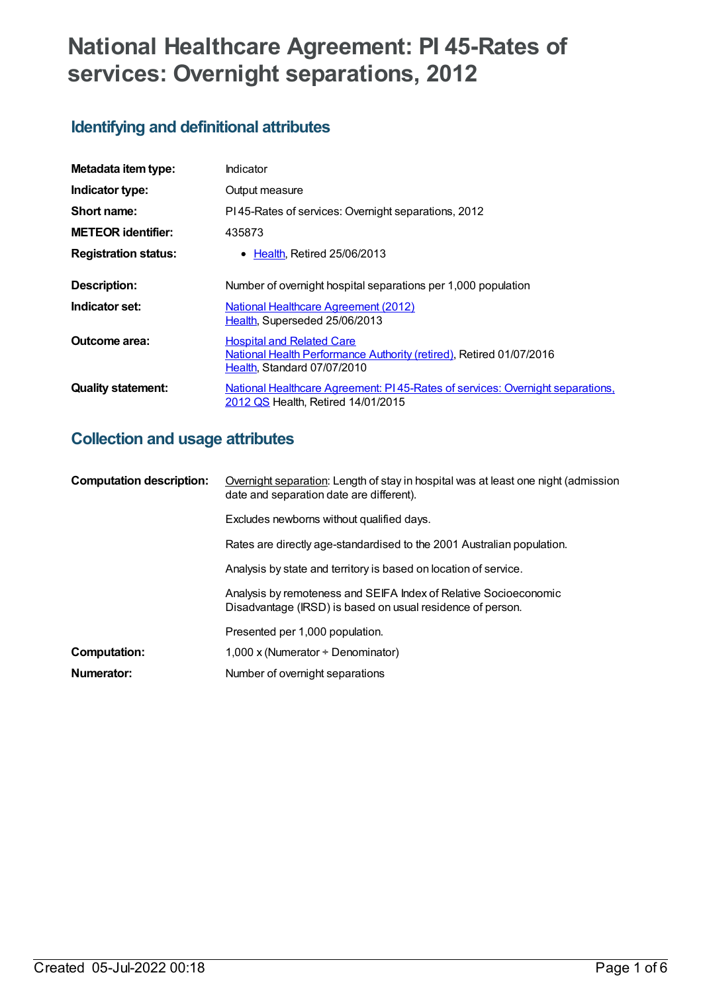# **National Healthcare Agreement: PI 45-Rates of services: Overnight separations, 2012**

# **Identifying and definitional attributes**

| Metadata item type:         | Indicator                                                                                                                              |
|-----------------------------|----------------------------------------------------------------------------------------------------------------------------------------|
| Indicator type:             | Output measure                                                                                                                         |
| Short name:                 | PI45-Rates of services: Overnight separations, 2012                                                                                    |
| <b>METEOR identifier:</b>   | 435873                                                                                                                                 |
| <b>Registration status:</b> | $\bullet$ Health. Retired 25/06/2013                                                                                                   |
| Description:                | Number of overnight hospital separations per 1,000 population                                                                          |
| Indicator set:              | <b>National Healthcare Agreement (2012)</b><br>Health, Superseded 25/06/2013                                                           |
| Outcome area:               | <b>Hospital and Related Care</b><br>National Health Performance Authority (retired), Retired 01/07/2016<br>Health, Standard 07/07/2010 |
| <b>Quality statement:</b>   | National Healthcare Agreement: PI45-Rates of services: Overnight separations.<br>2012 QS Health, Retired 14/01/2015                    |

# **Collection and usage attributes**

| <b>Computation description:</b> | Overnight separation: Length of stay in hospital was at least one night (admission<br>date and separation date are different). |
|---------------------------------|--------------------------------------------------------------------------------------------------------------------------------|
|                                 | Excludes newborns without qualified days.                                                                                      |
|                                 | Rates are directly age-standardised to the 2001 Australian population.                                                         |
|                                 | Analysis by state and territory is based on location of service.                                                               |
|                                 | Analysis by remoteness and SEIFA Index of Relative Socioeconomic<br>Disadvantage (IRSD) is based on usual residence of person. |
|                                 | Presented per 1,000 population.                                                                                                |
| Computation:                    | 1,000 x (Numerator $\div$ Denominator)                                                                                         |
| Numerator:                      | Number of overnight separations                                                                                                |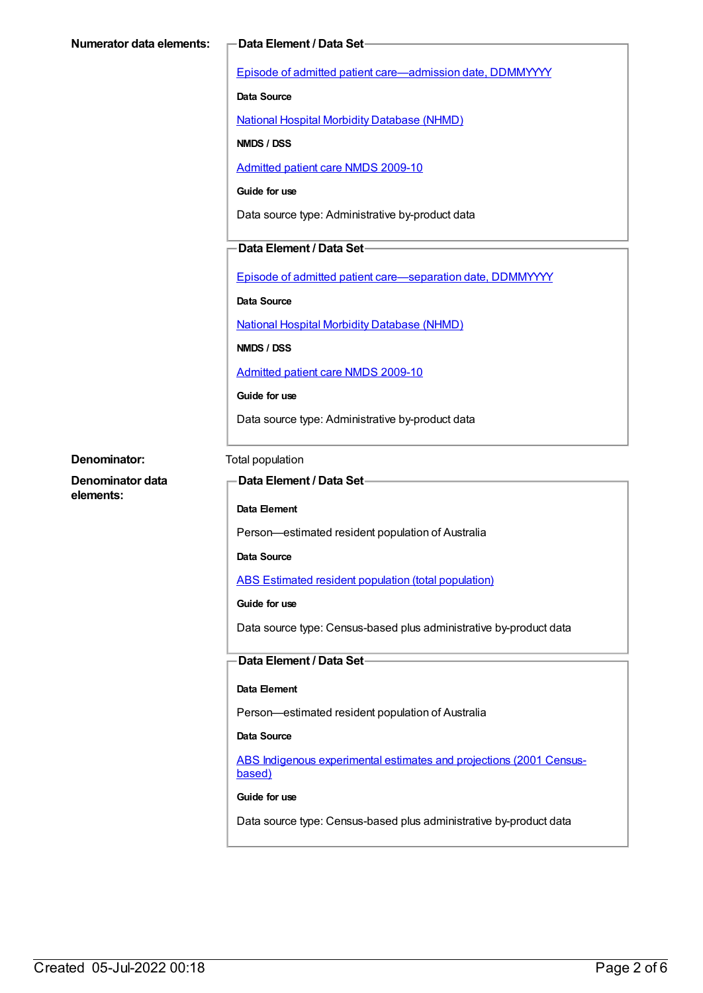| <b>Numerator data elements:</b> | -Data Element / Data Set-                                                     |
|---------------------------------|-------------------------------------------------------------------------------|
|                                 | Episode of admitted patient care-admission date, DDMMYYYY                     |
|                                 | <b>Data Source</b>                                                            |
|                                 | <b>National Hospital Morbidity Database (NHMD)</b>                            |
|                                 | NMDS / DSS                                                                    |
|                                 | <b>Admitted patient care NMDS 2009-10</b>                                     |
|                                 | Guide for use                                                                 |
|                                 | Data source type: Administrative by-product data                              |
|                                 | Data Element / Data Set-                                                      |
|                                 | Episode of admitted patient care-separation date, DDMMYYYY                    |
|                                 | Data Source                                                                   |
|                                 | <b>National Hospital Morbidity Database (NHMD)</b>                            |
|                                 | NMDS / DSS                                                                    |
|                                 | <b>Admitted patient care NMDS 2009-10</b>                                     |
|                                 | Guide for use                                                                 |
|                                 | Data source type: Administrative by-product data                              |
| Denominator:                    | Total population                                                              |
| Denominator data                | <b>Data Element / Data Set-</b>                                               |
| elements:                       | Data Element                                                                  |
|                                 | Person-estimated resident population of Australia                             |
|                                 | Data Source                                                                   |
|                                 | ABS Estimated resident population (total population)                          |
|                                 | Guide for use                                                                 |
|                                 | Data source type: Census-based plus administrative by-product data            |
|                                 | Data Element / Data Set-                                                      |
|                                 | Data Element                                                                  |
|                                 | Person-estimated resident population of Australia                             |
|                                 | Data Source                                                                   |
|                                 | ABS Indigenous experimental estimates and projections (2001 Census-<br>based) |
|                                 |                                                                               |
|                                 | Guide for use                                                                 |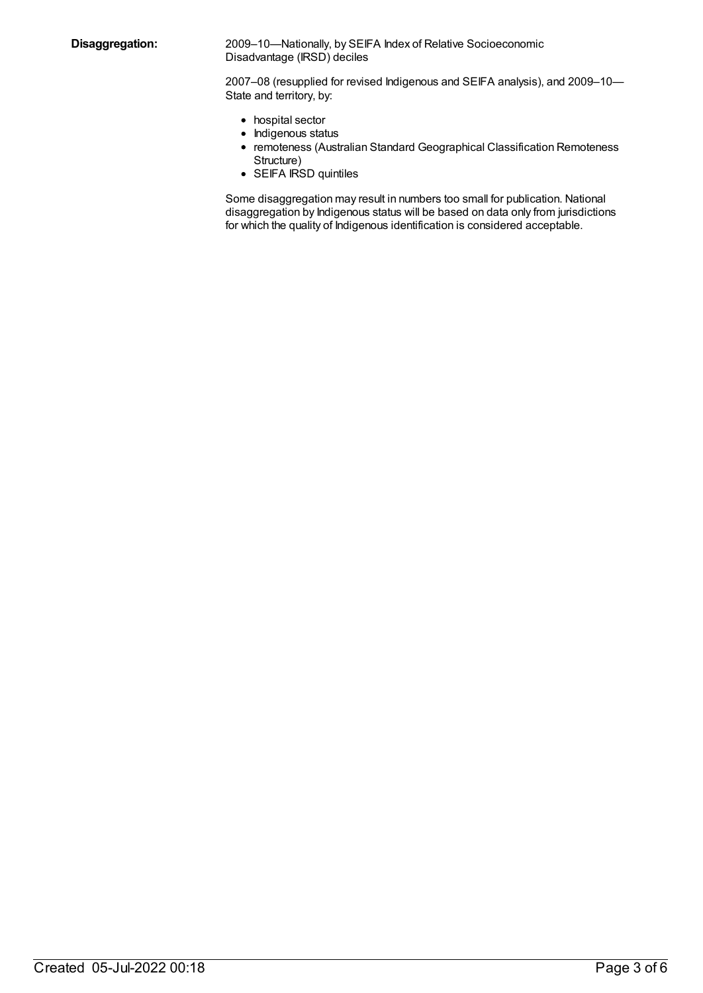**Disaggregation:** 2009–10—Nationally, by SEIFA Index of Relative Socioeconomic Disadvantage (IRSD) deciles

> 2007–08 (resupplied for revised Indigenous and SEIFA analysis), and 2009–10— State and territory, by:

- hospital sector
- Indigenous status
- remoteness (Australian Standard Geographical Classification Remoteness Structure)
- SEIFA IRSD quintiles

Some disaggregation may result in numbers too small for publication. National disaggregation by Indigenous status will be based on data only from jurisdictions for which the quality of Indigenous identification is considered acceptable.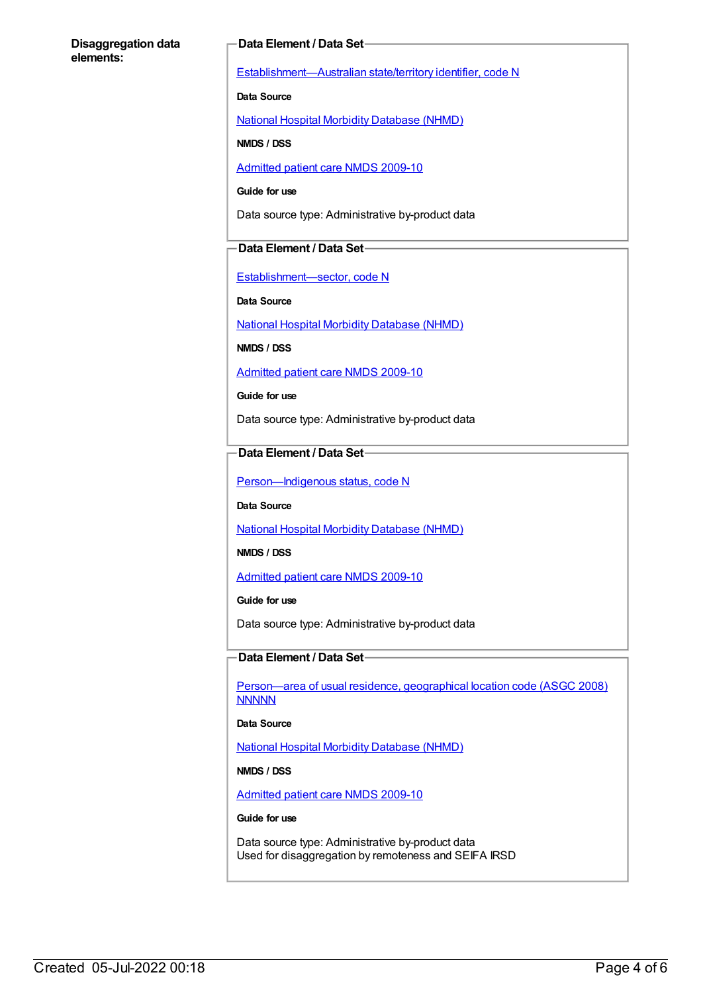#### **Disaggregation data elements:**

#### **Data Element / Data Set**

[Establishment—Australian](https://meteor.aihw.gov.au/content/269941) state/territory identifier, code N

**Data Source**

National Hospital Morbidity [Database](https://meteor.aihw.gov.au/content/394352) (NHMD)

**NMDS / DSS**

[Admitted](https://meteor.aihw.gov.au/content/374205) patient care NMDS 2009-10

**Guide for use**

Data source type: Administrative by-product data

#### **Data Element / Data Set**

[Establishment—sector,](https://meteor.aihw.gov.au/content/269977) code N

**Data Source**

National Hospital Morbidity [Database](https://meteor.aihw.gov.au/content/394352) (NHMD)

**NMDS / DSS**

[Admitted](https://meteor.aihw.gov.au/content/374205) patient care NMDS 2009-10

**Guide for use**

Data source type: Administrative by-product data

#### **Data Element / Data Set**

Person-Indigenous status, code N

**Data Source**

National Hospital Morbidity [Database](https://meteor.aihw.gov.au/content/394352) (NHMD)

**NMDS / DSS**

[Admitted](https://meteor.aihw.gov.au/content/374205) patient care NMDS 2009-10

**Guide for use**

Data source type: Administrative by-product data

### **Data Element / Data Set**

[Person—area](https://meteor.aihw.gov.au/content/377103) of usual residence, geographical location code (ASGC 2008) **NNNNN** 

**Data Source**

National Hospital Morbidity [Database](https://meteor.aihw.gov.au/content/394352) (NHMD)

**NMDS / DSS**

[Admitted](https://meteor.aihw.gov.au/content/374205) patient care NMDS 2009-10

#### **Guide for use**

Data source type: Administrative by-product data Used for disaggregation by remoteness and SEIFA IRSD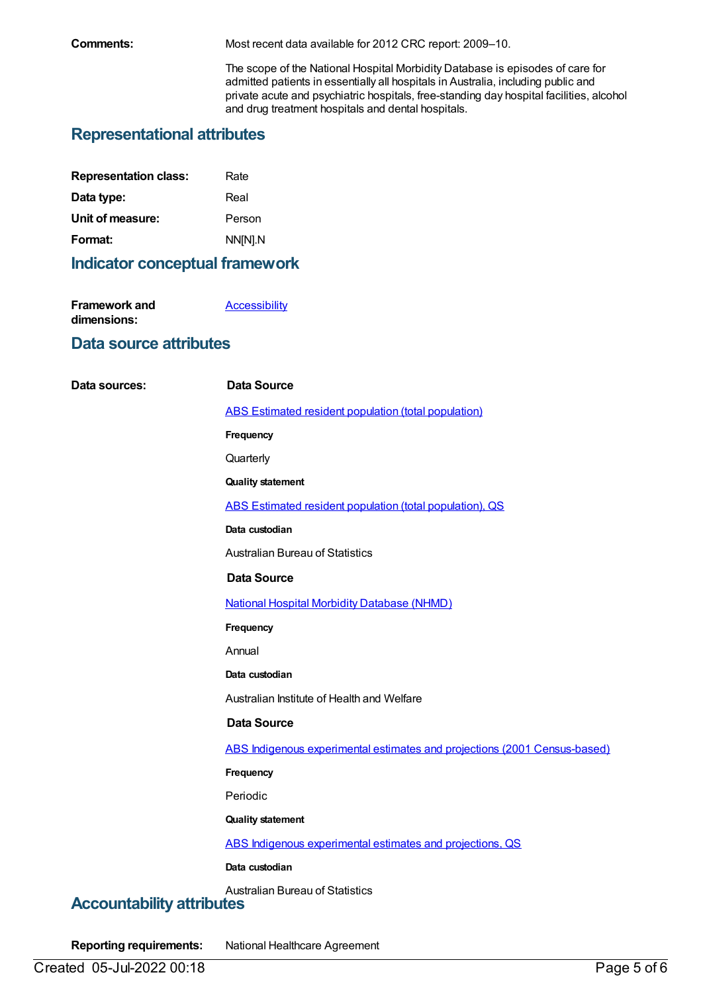**Comments:** Most recent data available for 2012 CRC report: 2009–10.

The scope of the National Hospital Morbidity Database is episodes of care for admitted patients in essentially all hospitals in Australia, including public and private acute and psychiatric hospitals, free-standing day hospital facilities, alcohol and drug treatment hospitals and dental hospitals.

# **Representational attributes**

| Rate    |
|---------|
| Real    |
| Person  |
| NN[N].N |
|         |

## **Indicator conceptual framework**

| Framework and | <b>Accessibility</b> |
|---------------|----------------------|
| dimensions:   |                      |

### **Data source attributes**

| Data sources:                    | <b>Data Source</b>                                                        |
|----------------------------------|---------------------------------------------------------------------------|
|                                  | ABS Estimated resident population (total population)                      |
|                                  | Frequency                                                                 |
|                                  | Quarterly                                                                 |
|                                  | <b>Quality statement</b>                                                  |
|                                  | ABS Estimated resident population (total population), QS                  |
|                                  | Data custodian                                                            |
|                                  | <b>Australian Bureau of Statistics</b>                                    |
|                                  | <b>Data Source</b>                                                        |
|                                  | <b>National Hospital Morbidity Database (NHMD)</b>                        |
|                                  | Frequency                                                                 |
|                                  | Annual                                                                    |
|                                  | Data custodian                                                            |
|                                  | Australian Institute of Health and Welfare                                |
|                                  | <b>Data Source</b>                                                        |
|                                  | ABS Indigenous experimental estimates and projections (2001 Census-based) |
|                                  | Frequency                                                                 |
|                                  | Periodic                                                                  |
|                                  | <b>Quality statement</b>                                                  |
|                                  | ABS Indigenous experimental estimates and projections, QS                 |
|                                  | Data custodian                                                            |
| <b>Accountability attributes</b> | <b>Australian Bureau of Statistics</b>                                    |

**Reporting requirements:** National Healthcare Agreement